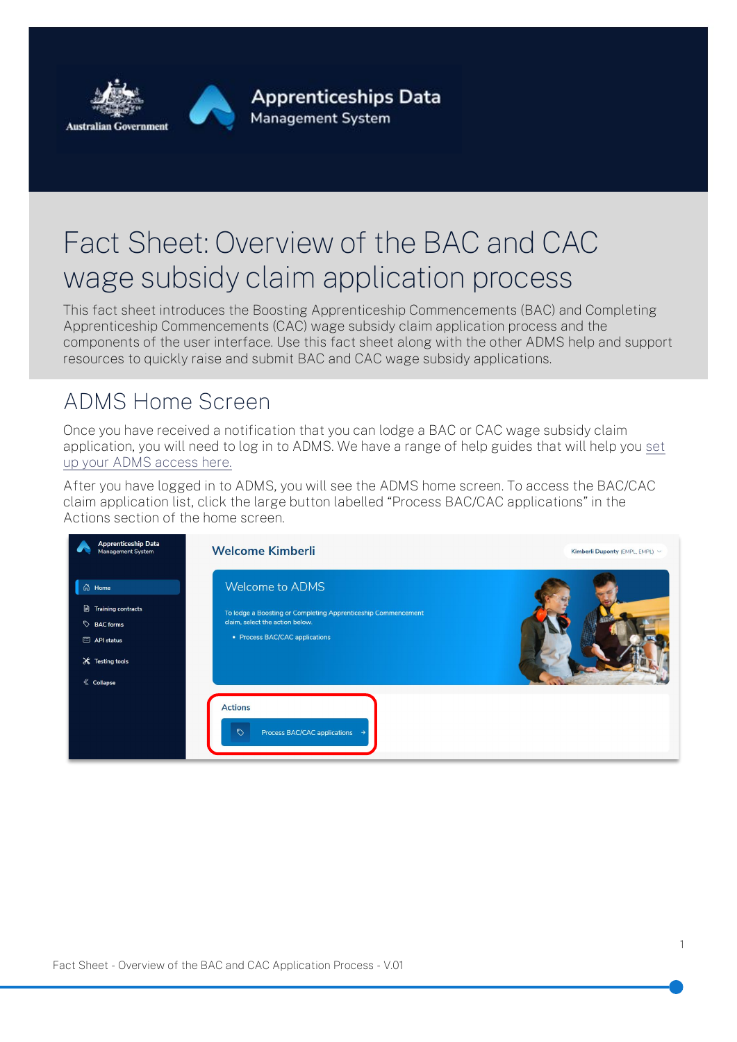

# Fact Sheet: Overview of the BAC and CAC wage subsidy claim application process

This fact sheet introduces the Boosting Apprenticeship Commencements (BAC) and Completing Apprenticeship Commencements (CAC) wage subsidy claim application process and the components of the user interface. Use this fact sheet along with the other ADMS help and support resources to quickly raise and submit BAC and CAC wage subsidy applications.

### ADMS Home Screen

Once you have received a notification that you can lodge a BAC or CAC wage subsidy claim application, you will need to log in to ADMS. We have a range of help guides that will help you [set](http://www.australianapprenticeships.gov.au/adms)  [up your ADMS access here.](http://www.australianapprenticeships.gov.au/adms)

After you have logged in to ADMS, you will see the ADMS home screen. To access the BAC/CAC claim application list, click the large button labelled "Process BAC/CAC applications" in the Actions section of the home screen.

| <b>Apprenticeship Data</b><br>Management System                                                                         | <b>Welcome Kimberli</b>                                                                                                                               |  |
|-------------------------------------------------------------------------------------------------------------------------|-------------------------------------------------------------------------------------------------------------------------------------------------------|--|
| 61<br>Home<br>$\Box$ Training contracts<br>BAC forms<br>API status<br>$\mathsf{\times}$ Testing tools<br>$\ll$ Collapse | Welcome to ADMS<br>To lodge a Boosting or Completing Apprenticeship Commencement<br>claim, select the action below.<br>• Process BAC/CAC applications |  |
|                                                                                                                         | <b>Actions</b><br>$\heartsuit$<br>Process BAC/CAC applications →                                                                                      |  |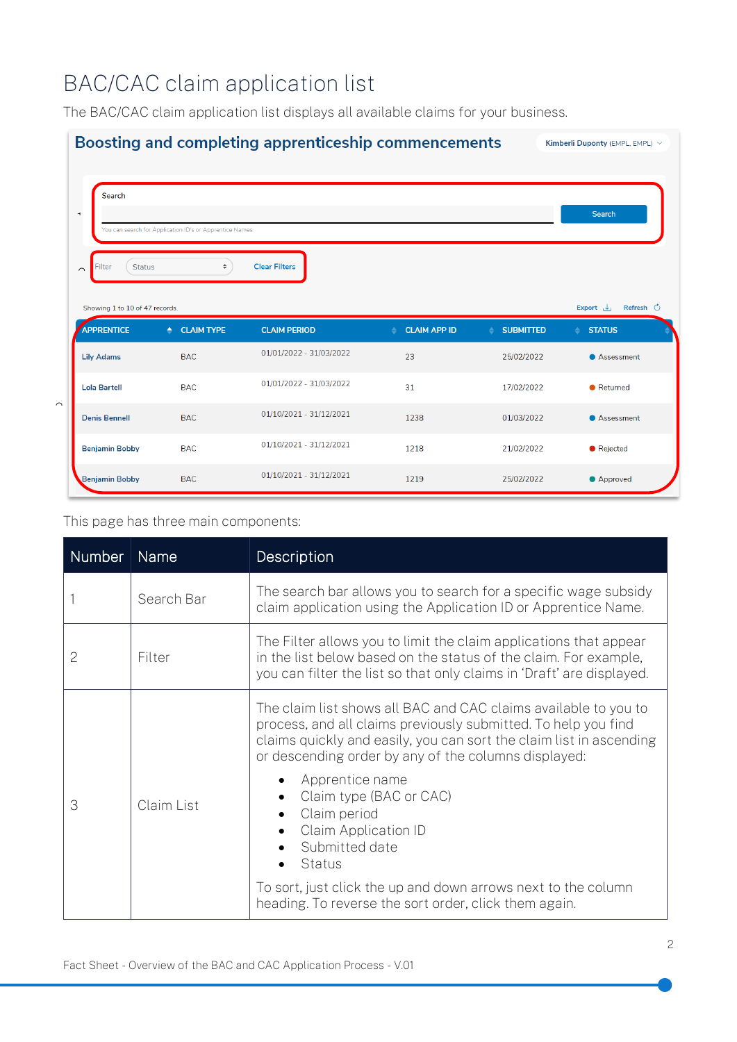## BAC/CAC claim application list

The BAC/CAC claim application list displays all available claims for your business.



#### This page has three main components:

| <b>Number</b> | <b>Name</b> | Description                                                                                                                                                                                                                                                      |
|---------------|-------------|------------------------------------------------------------------------------------------------------------------------------------------------------------------------------------------------------------------------------------------------------------------|
|               | Search Bar  | The search bar allows you to search for a specific wage subsidy<br>claim application using the Application ID or Apprentice Name.                                                                                                                                |
| 2             | Filter      | The Filter allows you to limit the claim applications that appear<br>in the list below based on the status of the claim. For example,<br>you can filter the list so that only claims in 'Draft' are displayed.                                                   |
| 3             | Claim List  | The claim list shows all BAC and CAC claims available to you to<br>process, and all claims previously submitted. To help you find<br>claims quickly and easily, you can sort the claim list in ascending<br>or descending order by any of the columns displayed: |
|               |             | Apprentice name<br>Claim type (BAC or CAC)<br>Claim period<br>Claim Application ID<br>Submitted date<br>Status                                                                                                                                                   |
|               |             | To sort, just click the up and down arrows next to the column<br>heading. To reverse the sort order, click them again.                                                                                                                                           |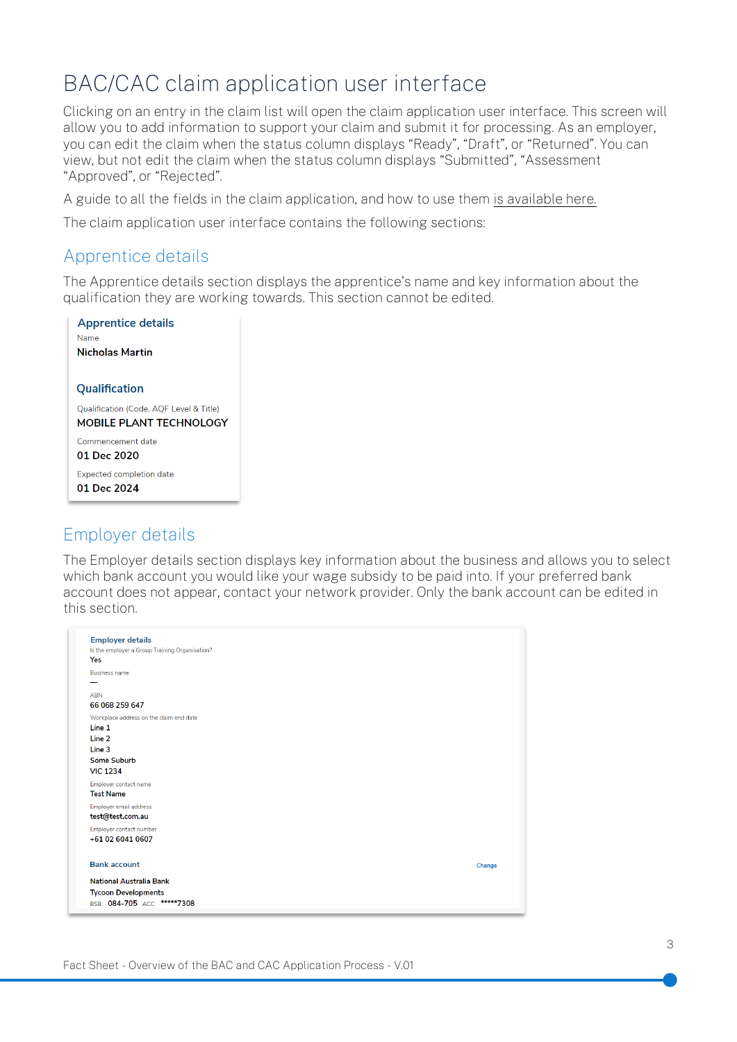### BAC/CAC claim application user interface

Clicking on an entry in the claim list will open the claim application user interface. This screen will allow you to add information to support your claim and submit it for processing. As an employer, you can edit the claim when the status column displays "Ready", "Draft", or "Returned". You can view, but not edit the claim when the status column displays "Submitted", "Assessment "Approved", or "Rejected".

A guide to all the fields in the claim application, and how to use them [is available here.](http://www.australianapprenticeships.gov.au/adms)

The claim application user interface contains the following sections:

#### Apprentice details

The Apprentice details section displays the apprentice's name and key information about the qualification they are working towards. This section cannot be edited.

| <b>Apprentice details</b>               |  |
|-----------------------------------------|--|
| Name                                    |  |
| <b>Nicholas Martin</b>                  |  |
|                                         |  |
| Qualification                           |  |
| Qualification (Code, AQF Level & Title) |  |
| <b>MOBILE PLANT TECHNOLOGY</b>          |  |
| Commencement date                       |  |
| 01 Dec 2020                             |  |
| <b>Expected completion date</b>         |  |
| 01 Dec 2024                             |  |
|                                         |  |

#### Employer details

The Employer details section displays key information about the business and allows you to select which bank account you would like your wage subsidy to be paid into. If your preferred bank account does not appear, contact your network provider. Only the bank account can be edited in this section.

| <b>Employer details</b><br>Is the employer a Group Training Organisation?<br>Yes                               |        |
|----------------------------------------------------------------------------------------------------------------|--------|
| <b>Business name</b>                                                                                           |        |
| <b>ABN</b><br>66 068 259 647                                                                                   |        |
| Workplace address on the claim end date<br>Line 1<br>Line 2<br>Line 3<br><b>Some Suburb</b><br><b>VIC 1234</b> |        |
| Employer contact name<br><b>Test Name</b>                                                                      |        |
| Employer email address<br>test@test.com.au                                                                     |        |
| Employer contact number<br>+61 02 6041 0607                                                                    |        |
| <b>Bank account</b>                                                                                            | Change |
| <b>National Australia Bank</b><br><b>Tycoon Developments</b><br>BSB: 084-705 ACC: *****7308                    |        |
|                                                                                                                |        |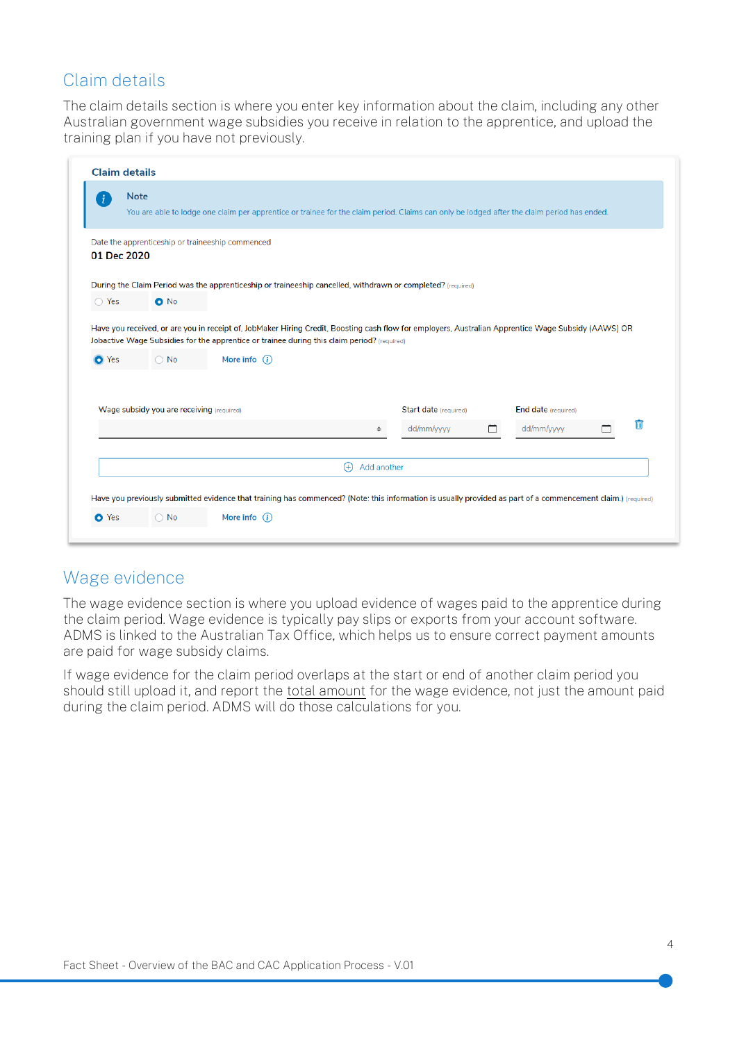#### Claim details

The claim details section is where you enter key information about the claim, including any other Australian government wage subsidies you receive in relation to the apprentice, and upload the training plan if you have not previously.

| Ŧ              | <b>Note</b>                                      |                                                                                                                                                                                 |                         |                                                                                                                                                     |   |                            |   |
|----------------|--------------------------------------------------|---------------------------------------------------------------------------------------------------------------------------------------------------------------------------------|-------------------------|-----------------------------------------------------------------------------------------------------------------------------------------------------|---|----------------------------|---|
|                |                                                  | You are able to lodge one claim per apprentice or trainee for the claim period. Claims can only be lodged after the claim period has ended.                                     |                         |                                                                                                                                                     |   |                            |   |
| 01 Dec 2020    | Date the apprenticeship or traineeship commenced |                                                                                                                                                                                 |                         |                                                                                                                                                     |   |                            |   |
|                |                                                  | During the Claim Period was the apprenticeship or traineeship cancelled, withdrawn or completed? (required)                                                                     |                         |                                                                                                                                                     |   |                            |   |
| $\bigcirc$ Yes | $O$ No                                           |                                                                                                                                                                                 |                         |                                                                                                                                                     |   |                            |   |
| <b>O</b> Yes   | $\bigcirc$ No                                    | Jobactive Wage Subsidies for the apprentice or trainee during this claim period? (required)<br>More info $(i)$                                                                  |                         | Have you received, or are you in receipt of, JobMaker Hiring Credit, Boosting cash flow for employers, Australian Apprentice Wage Subsidy (AAWS) OR |   |                            |   |
|                | Wage subsidy you are receiving (required)        |                                                                                                                                                                                 |                         | Start date (required)                                                                                                                               |   | <b>End date</b> (required) |   |
|                |                                                  |                                                                                                                                                                                 | $\div$                  | dd/mm/yyyy                                                                                                                                          | □ | dd/mm/yyyy                 | 而 |
|                |                                                  |                                                                                                                                                                                 |                         |                                                                                                                                                     |   |                            |   |
|                |                                                  |                                                                                                                                                                                 | Add another<br>$^{(+)}$ |                                                                                                                                                     |   |                            |   |
|                |                                                  |                                                                                                                                                                                 |                         |                                                                                                                                                     |   |                            |   |
| O Yes          | $\bigcirc$ No                                    | Have you previously submitted evidence that training has commenced? (Note: this information is usually provided as part of a commencement claim.) (required)<br>More info $(i)$ |                         |                                                                                                                                                     |   |                            |   |

#### Wage evidence

The wage evidence section is where you upload evidence of wages paid to the apprentice during the claim period. Wage evidence is typically pay slips or exports from your account software. ADMS is linked to the Australian Tax Office, which helps us to ensure correct payment amounts are paid for wage subsidy claims.

If wage evidence for the claim period overlaps at the start or end of another claim period you should still upload it, and report the total amount for the wage evidence, not just the amount paid during the claim period. ADMS will do those calculations for you.